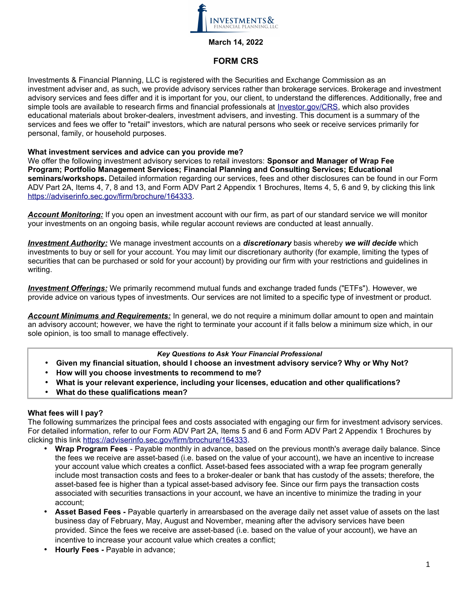

## **March 14, 2022**

# **FORM CRS**

Investments & Financial Planning, LLC is registered with the Securities and Exchange Commission as an investment adviser and, as such, we provide advisory services rather than brokerage services. Brokerage and investment advisory services and fees differ and it is important for you, our client, to understand the differences. Additionally, free and simple tools are available to research firms and financial professionals at [Investor.gov/CRS,](http://www.Investor.gov/CRS) which also provides educational materials about broker-dealers, investment advisers, and investing. This document is a summary of the services and fees we offer to "retail" investors, which are natural persons who seek or receive services primarily for personal, family, or household purposes.

### **What investment services and advice can you provide me?**

We offer the following investment advisory services to retail investors: **Sponsor and Manager of Wrap Fee Program; Portfolio Management Services; Financial Planning and Consulting Services; Educational seminars/workshops.** Detailed information regarding our services, fees and other disclosures can be found in our Form ADV Part 2A, Items 4, 7, 8 and 13, and Form ADV Part 2 Appendix 1 Brochures, Items 4, 5, 6 and 9, by clicking this link [https://adviserinfo.sec.gov/firm/brochure/164333.](https://adviserinfo.sec.gov/firm/brochure/164333)

*Account Monitoring:* If you open an investment account with our firm, as part of our standard service we will monitor your investments on an ongoing basis, while regular account reviews are conducted at least annually.

*Investment Authority :* We manage investment accounts on a *discretionary* basis whereby *we will decide* which investments to buy or sell for your account. You may limit our discretionary authority (for example, limiting the types of securities that can be purchased or sold for your account) by providing our firm with your restrictions and guidelines in writing.

 *Investment Offerings:* We primarily recommend mutual funds and exchange traded funds ("ETFs"). However, we provide advice on various types of investments. Our services are not limited to a specific type of investment or product.

*Account Minimums and Requirements:* In general, we do not require a minimum dollar amount to open and maintain an advisory account; however, we have the right to terminate your account if it falls below a minimum size which, in our sole opinion, is too small to manage effectively.

### *Key Questions to Ask Your Financial Professional*

- **Given my financial situation, should I choose an investment advisory service? Why or Why Not?**
- **How will you choose investments to recommend to me?**
- **What is your relevant experience, including your licenses, education and other qualifications?**
- **What do these qualifications mean?**

# **What fees will I pay?**

The following summarizes the principal fees and costs associated with engaging our firm for investment advisory services. For detailed information, refer to our Form ADV Part 2A, Items 5 and 6 and Form ADV Part 2 Appendix 1 Brochures by clicking this link [https://adviserinfo.sec.gov/firm/brochure/164333.](https://adviserinfo.sec.gov/firm/brochure/164333)

- **Wrap Program Fees** Payable monthly in advance, based on the previous month's average daily balance. Since the fees we receive are asset-based (i.e. based on the value of your account), we have an incentive to increase your account value which creates a conflict. Asset-based fees associated with a wrap fee program generally include most transaction costs and fees to a broker-dealer or bank that has custody of the assets; therefore, the asset-based fee is higher than a typical asset-based advisory fee. Since our firm pays the transaction costs associated with securities transactions in your account, we have an incentive to minimize the trading in your account;
- **Asset Based Fees -** Payable quarterly in arrearsbased on the average daily net asset value of assets on the last business day of February, May, August and November, meaning after the advisory services have been provided. Since the fees we receive are asset-based (i.e. based on the value of your account), we have an incentive to increase your account value which creates a conflict;
- **Hourly Fees -** Payable in advance;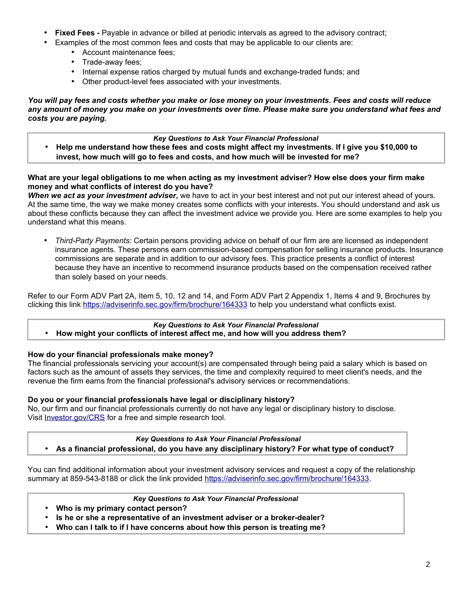- **Fixed Fees -** Payable in advance or billed at periodic intervals as agreed to the advisory contract;
- Examples of the most common fees and costs that may be applicable to our clients are:
	- Account maintenance fees;
	- Trade-away fees;
	- Internal expense ratios charged by mutual funds and exchange-traded funds; and
	- Other product-level fees associated with your investments.

*You will pay fees and costs whether you make or lose money on your investments. Fees and costs will reduce any amount of money you make on your investments over time. Please make sure you understand what fees and costs you are paying.*

# *Key Questions to Ask Your Financial Professional*

• **Help me understand how these fees and costs might affect my investments. If I give you \$10,000 to invest, how much will go to fees and costs, and how much will be invested for me?**

# **What are your legal obligations to me when acting as my investment adviser? How else does your firm make money and what conflicts of interest do you have?**

*When we act as your investment adviser***,** we have to act in your best interest and not put our interest ahead of yours. At the same time, the way we make money creates some conflicts with your interests. You should understand and ask us about these conflicts because they can affect the investment advice we provide you. Here are some examples to help you understand what this means.

• *Third-Party Payments:* Certain persons providing advice on behalf of our firm are are licensed as independent insurance agents. These persons earn commission-based compensation for selling insurance products. Insurance commissions are separate and in addition to our advisory fees. This practice presents a conflict of interest because they have an incentive to recommend insurance products based on the compensation received rather than solely based on your needs.

Refer to our Form ADV Part 2A, Item 5, 10, 12 and 14, and Form ADV Part 2 Appendix 1, Items 4 and 9, Brochures by clicking this link <https://adviserinfo.sec.gov/firm/brochure/164333> to help you understand what conflicts exist.

#### *Key Questions to Ask Your Financial Professional* • **How might your conflicts of interest affect me, and how will you address them?**

# **How do your financial professionals make money?**

The financial professionals servicing your account(s) are compensated through being paid a salary which is based on factors such as the amount of assets they services, the time and complexity required to meet client's needs, and the revenue the firm earns from the financial professional's advisory services or recommendations.

# **Do you or your financial professionals have legal or disciplinary history?**

No, our firm and our financial professionals currently do not have any legal or disciplinary history to disclose. Visit [Investor.gov/CRS](http://www.investor.gov/crs) for a free and simple research tool.

## *Key Questions to Ask Your Financial Professional* • **As a financial professional, do you have any disciplinary history? For what type of conduct?**

You can find additional information about your investment advisory services and request a copy of the relationship summary at 859-543-8188 or click the link provided [https://adviserinfo.sec.gov/firm/brochure/164333.](https://adviserinfo.sec.gov/firm/brochure/164333)

*Key Questions to Ask Your Financial Professional*

- **Who is my primary contact person?**
- **Is he or she a representative of an investment adviser or a broker-dealer?**
- **Who can I talk to if I have concerns about how this person is treating me?**